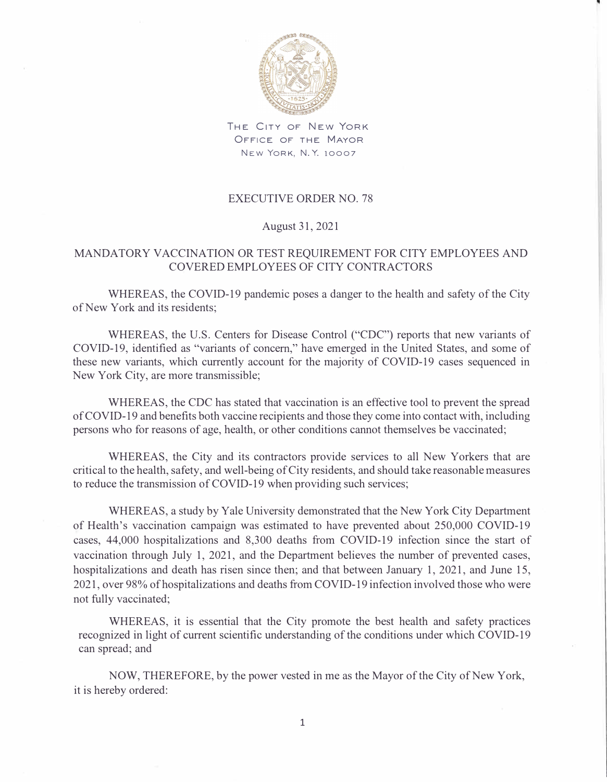

THE CITY OF NEW YORK OFFICE OF THE MAYOR NEW YORK, N. Y. 10007

## EXECUTIVE ORDER NO. 78

## August 31, 2021

## MANDATORY VACCINATION OR TEST REQUIREMENT FOR CITY EMPLOYEES AND COVERED EMPLOYEES OF CITY CONTRACTORS

WHEREAS, the COVID-19 pandemic poses a danger to the health and safety of the City of New York and its residents;

WHEREAS, the U.S. Centers for Disease Control ("CDC") reports that new variants of COVID-19, identified as "variants of concern," have emerged in the United States, and some of these new variants, which currently account for the majority of COVID-19 cases sequenced in New York City, are more transmissible;

WHEREAS, the CDC has stated that vaccination is an effective tool to prevent the spread of COVID-19 and benefits both vaccine recipients and those they come into contact with, including persons who for reasons of age, health, or other conditions cannot themselves be vaccinated;

WHEREAS, the City and its contractors provide services to all New Yorkers that are critical to the health, safety, and well-being of City residents, and should take reasonable measures to reduce the transmission of COVID-19 when providing such services;

WHEREAS, a study by Yale University demonstrated that the New York City Department of Health's vaccination campaign was estimated to have prevented about 250,000 COVID-19 cases, 44,000 hospitalizations and 8,300 deaths from COVID-19 infection since the start of vaccination through July 1, 2021, and the Department believes the number of prevented cases, hospitalizations and death has risen since then; and that between January 1, 2021, and June 15, 2021, over 98% of hospitalizations and deaths from COVID-19 infection involved those who were not fully vaccinated;

WHEREAS, it is essential that the City promote the best health and safety practices recognized in light of current scientific understanding of the conditions under which COVID-19 can spread; and

NOW, THEREFORE, by the power vested in me as the Mayor of the City of New York, it is hereby ordered: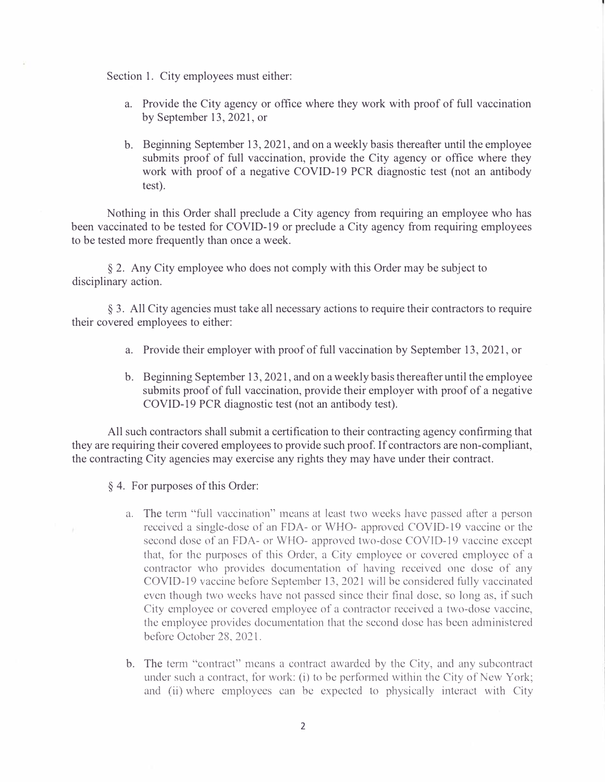Section 1. City employees must either:

- a. Provide the City agency or office where they work with proof of full vaccination by September 13, 2021, or
- b. Beginning September 13, 2021, and on a weekly basis thereafter until the employee submits proof of full vaccination, provide the City agency or office where they work with proof of a negative COVID-19 PCR diagnostic test (not an antibody test).

Nothing in this Order shall preclude a City agency from requiring an employee who has been vaccinated to be tested for COVID-19 or preclude a City agency from requiring employees to be tested more frequently than once a week.

§ 2. Any City employee who does not comply with this Order may be subject to disciplinary action.

§ 3. All City agencies must take all necessary actions to require their contractors to require their covered employees to either:

- a. Provide their employer with proof of full vaccination by September 13, 2021, or
- b. Beginning September 13, 2021, and on a weekly basis thereafter until the employee submits proof of full vaccination, provide their employer with proof of a negative COVID-19 PCR diagnostic test (not an antibody test).

All such contractors shall submit a certification to their contracting agency confirming that they are requiring their covered employees to provide such proof. If contractors are non-compliant, the contracting City agencies may exercise any rights they may have under their contract.

- § 4. For purposes of this Order:
	- a. The term "full vaccination" means at least two weeks have passed after a person received a single-dose of an FDA- or WHO- approved COVID-19 vaccine or the second dose of an FDA- or WHO- approved two-dose COVTD-19 vaccine except that, for the purposes of this Order, a City employee or covered employee of a contractor who provides documentation of having received one dose of any COVID-19 vaccine before September 13, 2021 will be considered fully vaccinated even though two weeks have not passed since their final dose, so long as, if such City employee or covered employee of a contractor received a two-dose vaccine, the employee provides documentation that the second dose has been administered before October 28, 2021.
	- b. The term "contract" means a contract awarded by the City, and any subcontract under such a contract, for work: (i) to be performed within the City of New York; and (ii) where employees can be expected to physically interact with City